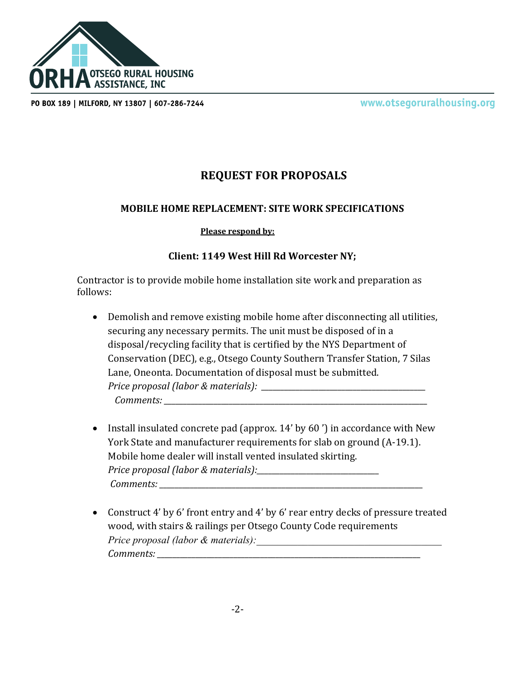

PO BOX 189 | MILFORD, NY 13807 | 607-286-7244

www.otsegoruralhousing.org

## **REQUEST FOR PROPOSALS**

## **MOBILE HOME REPLACEMENT: SITE WORK SPECIFICATIONS**

## **Please respond by:**

## **Client: 1149 West Hill Rd Worcester NY;**

Contractor is to provide mobile home installation site work and preparation as follows:

- Demolish and remove existing mobile home after disconnecting all utilities, securing any necessary permits. The unit must be disposed of in a disposal/recycling facility that is certified by the NYS Department of Conservation (DEC), e.g., Otsego County Southern Transfer Station, 7 Silas Lane, Oneonta. Documentation of disposal must be submitted. *Price proposal (labor & materials): \_\_\_\_\_\_\_\_\_\_\_\_\_\_\_\_\_\_\_\_\_\_\_\_\_\_\_\_\_\_\_\_\_\_\_\_\_\_\_\_\_\_\_ Comments: \_\_\_\_\_\_\_\_\_\_\_\_\_\_\_\_\_\_\_\_\_\_\_\_\_\_\_\_\_\_\_\_\_\_\_\_\_\_\_\_\_\_\_\_\_\_\_\_\_\_\_\_\_\_\_\_\_\_\_\_\_\_\_\_\_\_\_\_\_*
- Install insulated concrete pad (approx. 14' by 60') in accordance with New York State and manufacturer requirements for slab on ground (A-19.1). Mobile home dealer will install vented insulated skirting. *Price proposal (labor & materials):\_\_\_\_\_\_\_\_\_\_\_\_\_\_\_\_\_\_\_\_\_\_\_\_\_\_\_\_\_\_\_\_ Comments: \_\_\_\_\_\_\_\_\_\_\_\_\_\_\_\_\_\_\_\_\_\_\_\_\_\_\_\_\_\_\_\_\_\_\_\_\_\_\_\_\_\_\_\_\_\_\_\_\_\_\_\_\_\_\_\_\_\_\_\_\_\_\_\_\_\_\_\_\_*
- Construct 4' by 6' front entry and 4' by 6' rear entry decks of pressure treated wood, with stairs & railings per Otsego County Code requirements *Price proposal (labor & materials): Comments: \_\_\_\_\_\_\_\_\_\_\_\_\_\_\_\_\_\_\_\_\_\_\_\_\_\_\_\_\_\_\_\_\_\_\_\_\_\_\_\_\_\_\_\_\_\_\_\_\_\_\_\_\_\_\_\_\_\_\_\_\_\_\_\_\_\_\_\_\_*